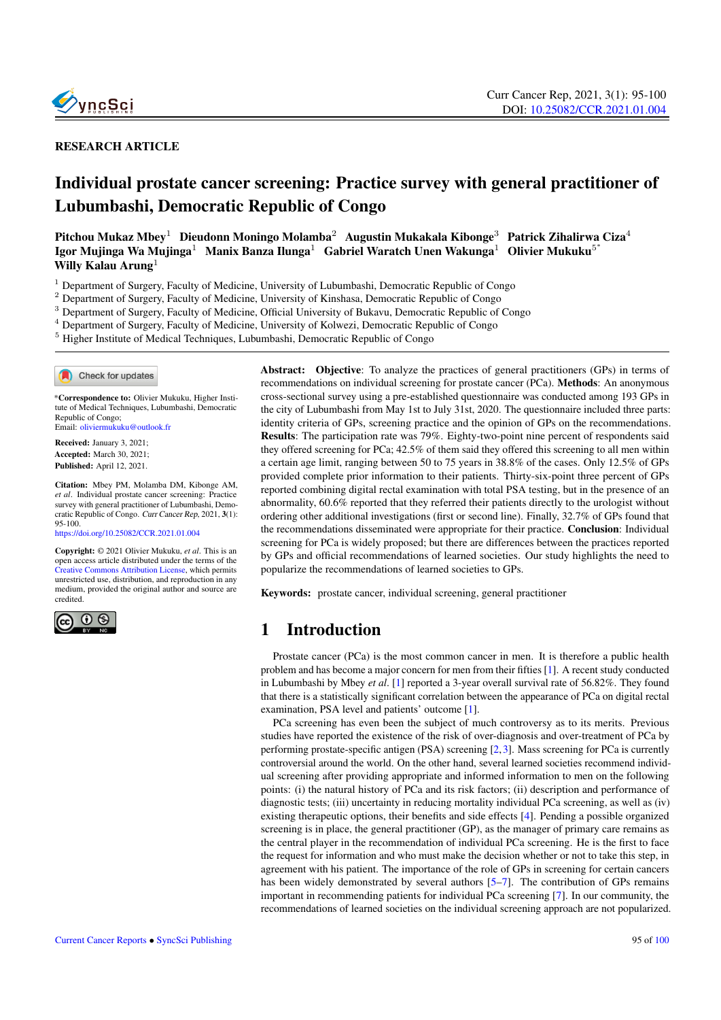

#### RESEARCH ARTICLE

# Individual prostate cancer screening: Practice survey with general practitioner of Lubumbashi, Democratic Republic of Congo

Pitchou Mukaz Mbey<sup>1</sup> Dieudonn Moningo Molamba<sup>2</sup> Augustin Mukakala Kibonge<sup>3</sup> Patrick Zihalirwa Ciza<sup>4</sup> Igor Mujinga Wa Mujinga<sup>1</sup> Manix Banza Ilunga<sup>1</sup> Gabriel Waratch Unen Wakunga<sup>1</sup> Olivier Mukuku<sup>5\*</sup> Willy Kalau Arung $<sup>1</sup>$ </sup>

<sup>1</sup> Department of Surgery, Faculty of Medicine, University of Lubumbashi, Democratic Republic of Congo

<sup>2</sup> Department of Surgery, Faculty of Medicine, University of Kinshasa, Democratic Republic of Congo

<sup>3</sup> Department of Surgery, Faculty of Medicine, Official University of Bukavu, Democratic Republic of Congo

<sup>4</sup> Department of Surgery, Faculty of Medicine, University of Kolwezi, Democratic Republic of Congo

<sup>5</sup> Higher Institute of Medical Techniques, Lubumbashi, Democratic Republic of Congo

Check for updates

\*Correspondence to: Olivier Mukuku, Higher Institute of Medical Techniques, Lubumbashi, Democratic Republic of Congo; Email: <oliviermukuku@outlook.fr>

Received: January 3, 2021; Accepted: March 30, 2021; Published: April 12, 2021.

Citation: Mbey PM, Molamba DM, Kibonge AM, *et al*. Individual prostate cancer screening: Practice survey with general practitioner of Lubumbashi, Democratic Republic of Congo. Curr Cancer Rep, 2021, 3(1): 95-100.

[https://doi.org/10.25082/CCR.2021.01.004](https://doi.org/10.225082/CCR.2021.01.004)

Copyright: © 2021 Olivier Mukuku, *et al*. This is an open access article distributed under the terms of the [Creative Commons Attribution License,](https://creativecommons.org/licenses/by/4.0/) which permits unrestricted use, distribution, and reproduction in any medium, provided the original author and source are credited.



Abstract: Objective: To analyze the practices of general practitioners (GPs) in terms of recommendations on individual screening for prostate cancer (PCa). Methods: An anonymous cross-sectional survey using a pre-established questionnaire was conducted among 193 GPs in the city of Lubumbashi from May 1st to July 31st, 2020. The questionnaire included three parts: identity criteria of GPs, screening practice and the opinion of GPs on the recommendations. Results: The participation rate was 79%. Eighty-two-point nine percent of respondents said they offered screening for PCa; 42.5% of them said they offered this screening to all men within a certain age limit, ranging between 50 to 75 years in 38.8% of the cases. Only 12.5% of GPs provided complete prior information to their patients. Thirty-six-point three percent of GPs reported combining digital rectal examination with total PSA testing, but in the presence of an abnormality, 60.6% reported that they referred their patients directly to the urologist without ordering other additional investigations (first or second line). Finally, 32.7% of GPs found that the recommendations disseminated were appropriate for their practice. Conclusion: Individual screening for PCa is widely proposed; but there are differences between the practices reported by GPs and official recommendations of learned societies. Our study highlights the need to popularize the recommendations of learned societies to GPs.

Keywords: prostate cancer, individual screening, general practitioner

# 1 Introduction

Prostate cancer (PCa) is the most common cancer in men. It is therefore a public health problem and has become a major concern for men from their fifties [\[1\]](#page-4-0). A recent study conducted in Lubumbashi by Mbey *et al*. [\[1\]](#page-4-0) reported a 3-year overall survival rate of 56.82%. They found that there is a statistically significant correlation between the appearance of PCa on digital rectal examination, PSA level and patients' outcome [\[1\]](#page-4-0).

PCa screening has even been the subject of much controversy as to its merits. Previous studies have reported the existence of the risk of over-diagnosis and over-treatment of PCa by performing prostate-specific antigen (PSA) screening [\[2,](#page-4-1)[3\]](#page-4-2). Mass screening for PCa is currently controversial around the world. On the other hand, several learned societies recommend individual screening after providing appropriate and informed information to men on the following points: (i) the natural history of PCa and its risk factors; (ii) description and performance of diagnostic tests; (iii) uncertainty in reducing mortality individual PCa screening, as well as (iv) existing therapeutic options, their benefits and side effects [\[4\]](#page-4-3). Pending a possible organized screening is in place, the general practitioner (GP), as the manager of primary care remains as the central player in the recommendation of individual PCa screening. He is the first to face the request for information and who must make the decision whether or not to take this step, in agreement with his patient. The importance of the role of GPs in screening for certain cancers has been widely demonstrated by several authors [\[5–](#page-4-4)[7\]](#page-4-5). The contribution of GPs remains important in recommending patients for individual PCa screening [\[7\]](#page-4-5). In our community, the recommendations of learned societies on the individual screening approach are not popularized.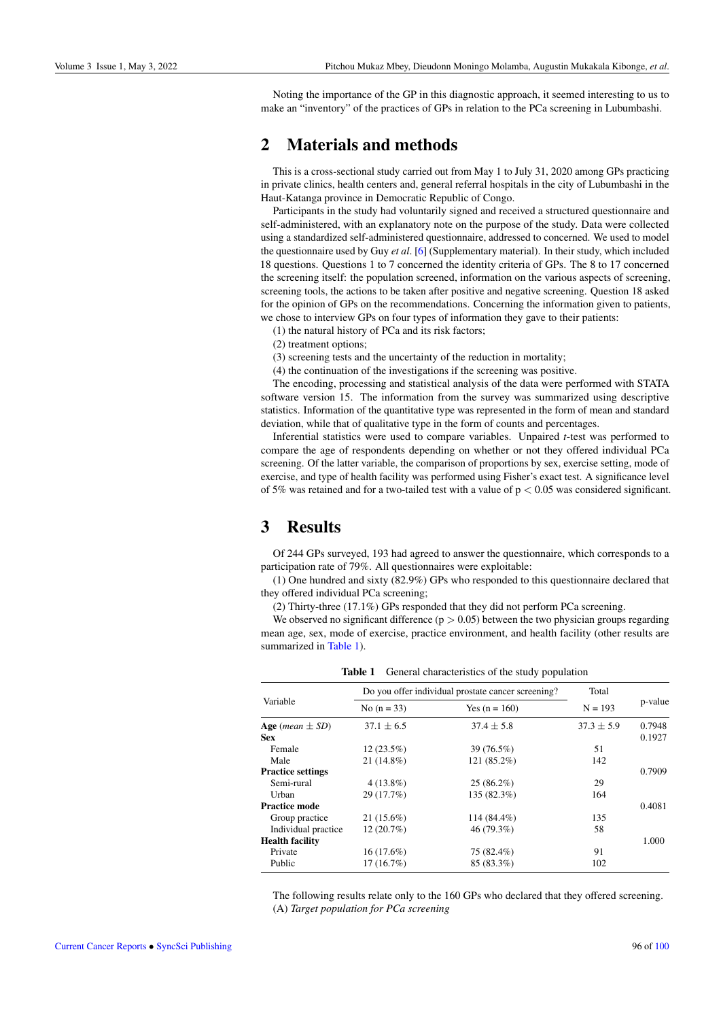Noting the importance of the GP in this diagnostic approach, it seemed interesting to us to make an "inventory" of the practices of GPs in relation to the PCa screening in Lubumbashi.

## 2 Materials and methods

This is a cross-sectional study carried out from May 1 to July 31, 2020 among GPs practicing in private clinics, health centers and, general referral hospitals in the city of Lubumbashi in the Haut-Katanga province in Democratic Republic of Congo.

Participants in the study had voluntarily signed and received a structured questionnaire and self-administered, with an explanatory note on the purpose of the study. Data were collected using a standardized self-administered questionnaire, addressed to concerned. We used to model the questionnaire used by Guy *et al*. [\[6\]](#page-4-6) (Supplementary material). In their study, which included 18 questions. Questions 1 to 7 concerned the identity criteria of GPs. The 8 to 17 concerned the screening itself: the population screened, information on the various aspects of screening, screening tools, the actions to be taken after positive and negative screening. Question 18 asked for the opinion of GPs on the recommendations. Concerning the information given to patients, we chose to interview GPs on four types of information they gave to their patients:

(1) the natural history of PCa and its risk factors;

(2) treatment options;

(3) screening tests and the uncertainty of the reduction in mortality;

(4) the continuation of the investigations if the screening was positive.

The encoding, processing and statistical analysis of the data were performed with STATA software version 15. The information from the survey was summarized using descriptive statistics. Information of the quantitative type was represented in the form of mean and standard deviation, while that of qualitative type in the form of counts and percentages.

Inferential statistics were used to compare variables. Unpaired *t*-test was performed to compare the age of respondents depending on whether or not they offered individual PCa screening. Of the latter variable, the comparison of proportions by sex, exercise setting, mode of exercise, and type of health facility was performed using Fisher's exact test. A significance level of 5% was retained and for a two-tailed test with a value of  $p < 0.05$  was considered significant.

# 3 Results

Of 244 GPs surveyed, 193 had agreed to answer the questionnaire, which corresponds to a participation rate of 79%. All questionnaires were exploitable:

(1) One hundred and sixty (82.9%) GPs who responded to this questionnaire declared that they offered individual PCa screening;

(2) Thirty-three (17.1%) GPs responded that they did not perform PCa screening.

We observed no significant difference  $(p > 0.05)$  between the two physician groups regarding mean age, sex, mode of exercise, practice environment, and health facility (other results are summarized in [Table 1\)](#page-1-0).

<span id="page-1-0"></span>

| Variable                            | Do you offer individual prostate cancer screening? | Total           |                |         |
|-------------------------------------|----------------------------------------------------|-----------------|----------------|---------|
|                                     | No $(n = 33)$                                      | Yes $(n = 160)$ | $N = 193$      | p-value |
| Age ( <i>mean</i> $\pm$ <i>SD</i> ) | $37.1 \pm 6.5$                                     | $37.4 \pm 5.8$  | $37.3 \pm 5.9$ | 0.7948  |
| <b>Sex</b>                          |                                                    |                 |                | 0.1927  |
| Female                              | $12(23.5\%)$                                       | 39 (76.5%)      | 51             |         |
| Male                                | $21(14.8\%)$                                       | 121 (85.2%)     | 142            |         |
| <b>Practice settings</b>            |                                                    |                 |                | 0.7909  |
| Semi-rural                          | $4(13.8\%)$                                        | $25(86.2\%)$    | 29             |         |
| Urban                               | 29 (17.7%)                                         | 135 (82.3%)     | 164            |         |
| <b>Practice mode</b>                |                                                    |                 |                | 0.4081  |
| Group practice                      | $21(15.6\%)$                                       | 114 (84.4%)     | 135            |         |
| Individual practice                 | 12(20.7%)                                          | 46 (79.3%)      | 58             |         |
| <b>Health facility</b>              |                                                    |                 |                | 1.000   |
| Private                             | $16(17.6\%)$                                       | 75 (82.4%)      | 91             |         |
| Public                              | 17(16.7%)                                          | 85 (83.3%)      | 102            |         |

Table 1 General characteristics of the study population

The following results relate only to the 160 GPs who declared that they offered screening. (A) *Target population for PCa screening*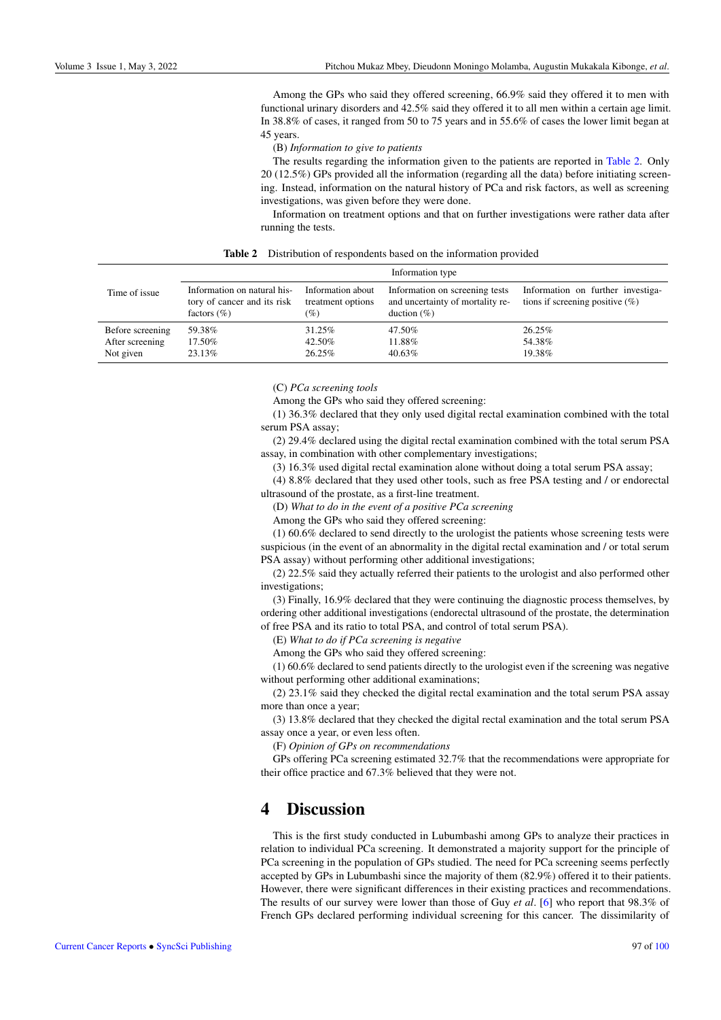Among the GPs who said they offered screening, 66.9% said they offered it to men with functional urinary disorders and 42.5% said they offered it to all men within a certain age limit. In 38.8% of cases, it ranged from 50 to 75 years and in 55.6% of cases the lower limit began at 45 years.

(B) *Information to give to patients*

The results regarding the information given to the patients are reported in [Table 2.](#page-2-0) Only 20 (12.5%) GPs provided all the information (regarding all the data) before initiating screening. Instead, information on the natural history of PCa and risk factors, as well as screening investigations, was given before they were done.

<span id="page-2-0"></span>Information on treatment options and that on further investigations were rather data after running the tests.

|  |  | <b>Table 2</b> Distribution of respondents based on the information provided |  |  |  |
|--|--|------------------------------------------------------------------------------|--|--|--|
|--|--|------------------------------------------------------------------------------|--|--|--|

|                  | Information type                                                              |                                               |                                                                                      |                                                                         |  |
|------------------|-------------------------------------------------------------------------------|-----------------------------------------------|--------------------------------------------------------------------------------------|-------------------------------------------------------------------------|--|
| Time of issue    | Information on natural his-<br>tory of cancer and its risk<br>factors $(\% )$ | Information about<br>treatment options<br>(%) | Information on screening tests<br>and uncertainty of mortality re-<br>duction $(\%)$ | Information on further investiga-<br>tions if screening positive $(\%)$ |  |
| Before screening | 59.38%                                                                        | 31.25%                                        | 47.50%                                                                               | 26.25%                                                                  |  |
| After screening  | 17.50%                                                                        | 42.50%                                        | 11.88%                                                                               | 54.38%                                                                  |  |
| Not given        | 23.13%                                                                        | 26.25%                                        | 40.63%                                                                               | 19.38%                                                                  |  |

(C) *PCa screening tools*

Among the GPs who said they offered screening:

(1) 36.3% declared that they only used digital rectal examination combined with the total serum PSA assay;

(2) 29.4% declared using the digital rectal examination combined with the total serum PSA assay, in combination with other complementary investigations;

(3) 16.3% used digital rectal examination alone without doing a total serum PSA assay;

(4) 8.8% declared that they used other tools, such as free PSA testing and / or endorectal ultrasound of the prostate, as a first-line treatment.

(D) *What to do in the event of a positive PCa screening*

Among the GPs who said they offered screening:

(1) 60.6% declared to send directly to the urologist the patients whose screening tests were suspicious (in the event of an abnormality in the digital rectal examination and / or total serum PSA assay) without performing other additional investigations;

(2) 22.5% said they actually referred their patients to the urologist and also performed other investigations;

(3) Finally, 16.9% declared that they were continuing the diagnostic process themselves, by ordering other additional investigations (endorectal ultrasound of the prostate, the determination of free PSA and its ratio to total PSA, and control of total serum PSA).

(E) *What to do if PCa screening is negative*

Among the GPs who said they offered screening:

(1) 60.6% declared to send patients directly to the urologist even if the screening was negative without performing other additional examinations;

(2) 23.1% said they checked the digital rectal examination and the total serum PSA assay more than once a year;

(3) 13.8% declared that they checked the digital rectal examination and the total serum PSA assay once a year, or even less often.

(F) *Opinion of GPs on recommendations*

GPs offering PCa screening estimated 32.7% that the recommendations were appropriate for their office practice and 67.3% believed that they were not.

#### 4 Discussion

This is the first study conducted in Lubumbashi among GPs to analyze their practices in relation to individual PCa screening. It demonstrated a majority support for the principle of PCa screening in the population of GPs studied. The need for PCa screening seems perfectly accepted by GPs in Lubumbashi since the majority of them (82.9%) offered it to their patients. However, there were significant differences in their existing practices and recommendations. The results of our survey were lower than those of Guy *et al*. [\[6\]](#page-4-6) who report that 98.3% of French GPs declared performing individual screening for this cancer. The dissimilarity of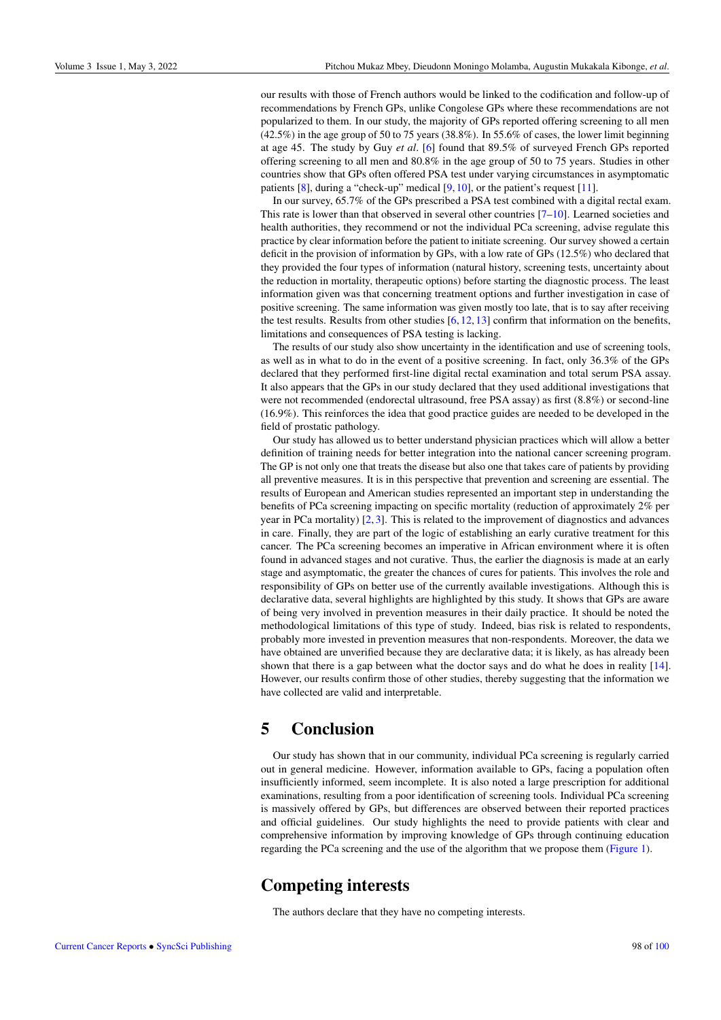our results with those of French authors would be linked to the codification and follow-up of recommendations by French GPs, unlike Congolese GPs where these recommendations are not popularized to them. In our study, the majority of GPs reported offering screening to all men  $(42.5\%)$  in the age group of 50 to 75 years  $(38.8\%)$ . In 55.6% of cases, the lower limit beginning at age 45. The study by Guy *et al*. [\[6\]](#page-4-6) found that 89.5% of surveyed French GPs reported offering screening to all men and 80.8% in the age group of 50 to 75 years. Studies in other countries show that GPs often offered PSA test under varying circumstances in asymptomatic patients [\[8\]](#page-4-7), during a "check-up" medical [\[9,](#page-4-8) [10\]](#page-4-9), or the patient's request [\[11\]](#page-4-10).

In our survey, 65.7% of the GPs prescribed a PSA test combined with a digital rectal exam. This rate is lower than that observed in several other countries [\[7–](#page-4-5)[10\]](#page-4-9). Learned societies and health authorities, they recommend or not the individual PCa screening, advise regulate this practice by clear information before the patient to initiate screening. Our survey showed a certain deficit in the provision of information by GPs, with a low rate of GPs (12.5%) who declared that they provided the four types of information (natural history, screening tests, uncertainty about the reduction in mortality, therapeutic options) before starting the diagnostic process. The least information given was that concerning treatment options and further investigation in case of positive screening. The same information was given mostly too late, that is to say after receiving the test results. Results from other studies  $[6, 12, 13]$  $[6, 12, 13]$  $[6, 12, 13]$  $[6, 12, 13]$  $[6, 12, 13]$  confirm that information on the benefits, limitations and consequences of PSA testing is lacking.

The results of our study also show uncertainty in the identification and use of screening tools, as well as in what to do in the event of a positive screening. In fact, only 36.3% of the GPs declared that they performed first-line digital rectal examination and total serum PSA assay. It also appears that the GPs in our study declared that they used additional investigations that were not recommended (endorectal ultrasound, free PSA assay) as first (8.8%) or second-line (16.9%). This reinforces the idea that good practice guides are needed to be developed in the field of prostatic pathology.

Our study has allowed us to better understand physician practices which will allow a better definition of training needs for better integration into the national cancer screening program. The GP is not only one that treats the disease but also one that takes care of patients by providing all preventive measures. It is in this perspective that prevention and screening are essential. The results of European and American studies represented an important step in understanding the benefits of PCa screening impacting on specific mortality (reduction of approximately 2% per year in PCa mortality) [\[2,](#page-4-1) [3\]](#page-4-2). This is related to the improvement of diagnostics and advances in care. Finally, they are part of the logic of establishing an early curative treatment for this cancer. The PCa screening becomes an imperative in African environment where it is often found in advanced stages and not curative. Thus, the earlier the diagnosis is made at an early stage and asymptomatic, the greater the chances of cures for patients. This involves the role and responsibility of GPs on better use of the currently available investigations. Although this is declarative data, several highlights are highlighted by this study. It shows that GPs are aware of being very involved in prevention measures in their daily practice. It should be noted the methodological limitations of this type of study. Indeed, bias risk is related to respondents, probably more invested in prevention measures that non-respondents. Moreover, the data we have obtained are unverified because they are declarative data; it is likely, as has already been shown that there is a gap between what the doctor says and do what he does in reality [\[14\]](#page-5-3). However, our results confirm those of other studies, thereby suggesting that the information we have collected are valid and interpretable.

#### 5 Conclusion

Our study has shown that in our community, individual PCa screening is regularly carried out in general medicine. However, information available to GPs, facing a population often insufficiently informed, seem incomplete. It is also noted a large prescription for additional examinations, resulting from a poor identification of screening tools. Individual PCa screening is massively offered by GPs, but differences are observed between their reported practices and official guidelines. Our study highlights the need to provide patients with clear and comprehensive information by improving knowledge of GPs through continuing education regarding the PCa screening and the use of the algorithm that we propose them [\(Figure 1\)](#page-4-11).

# Competing interests

The authors declare that they have no competing interests.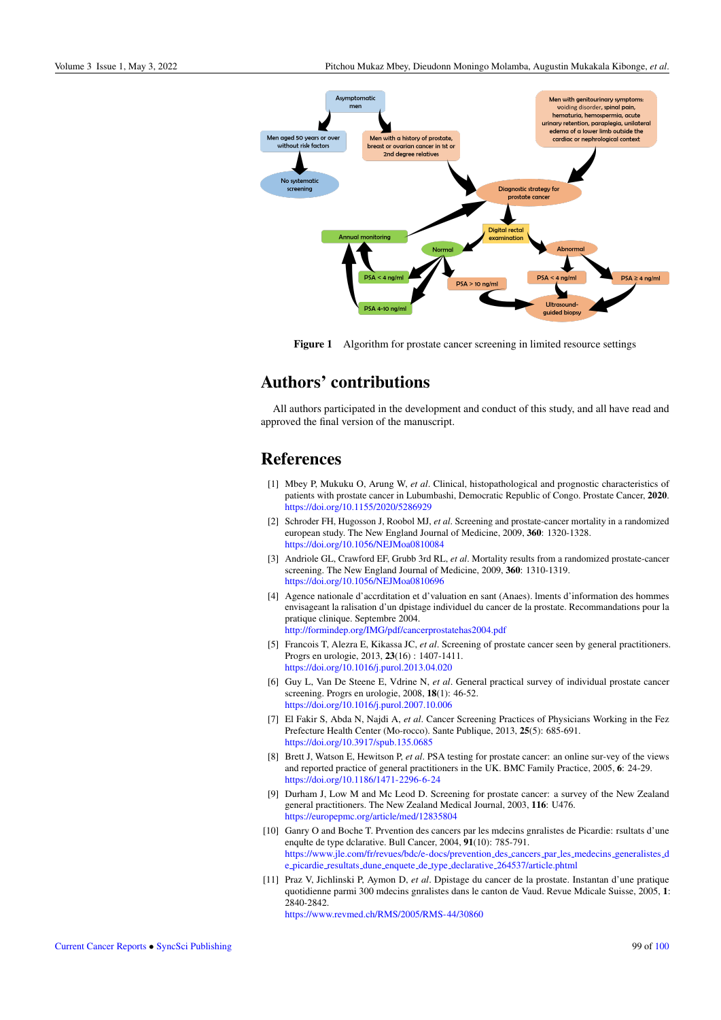<span id="page-4-11"></span>

Figure 1 Algorithm for prostate cancer screening in limited resource settings

# Authors' contributions

All authors participated in the development and conduct of this study, and all have read and approved the final version of the manuscript.

# **References**

- <span id="page-4-0"></span>[1] Mbey P, Mukuku O, Arung W, *et al*. Clinical, histopathological and prognostic characteristics of patients with prostate cancer in Lubumbashi, Democratic Republic of Congo. Prostate Cancer, 2020. <https://doi.org/10.1155/2020/5286929>
- <span id="page-4-1"></span>[2] Schroder FH, Hugosson J, Roobol MJ, *et al*. Screening and prostate-cancer mortality in a randomized european study. The New England Journal of Medicine, 2009, 360: 1320-1328. <https://doi.org/10.1056/NEJMoa0810084>
- <span id="page-4-2"></span>[3] Andriole GL, Crawford EF, Grubb 3rd RL, *et al*. Mortality results from a randomized prostate-cancer screening. The New England Journal of Medicine, 2009, 360: 1310-1319. <https://doi.org/10.1056/NEJMoa0810696>
- <span id="page-4-3"></span>[4] Agence nationale d'accrditation et d'valuation en sant (Anaes). lments d'information des hommes envisageant la ralisation d'un dpistage individuel du cancer de la prostate. Recommandations pour la pratique clinique. Septembre 2004. [http://formindep.org/IMG/pdf/cancerprostatehas2004.pdf](http://formindep.org/IMG/pdf/cancerprostate has2004.pdf)
- <span id="page-4-4"></span>[5] Francois T, Alezra E, Kikassa JC, *et al*. Screening of prostate cancer seen by general practitioners. Progrs en urologie, 2013, 23(16) : 1407-1411. <https://doi.org/10.1016/j.purol.2013.04.020>
- <span id="page-4-6"></span>[6] Guy L, Van De Steene E, Vdrine N, *et al*. General practical survey of individual prostate cancer screening. Progrs en urologie, 2008, 18(1): 46-52. <https://doi.org/10.1016/j.purol.2007.10.006>
- <span id="page-4-5"></span>[7] El Fakir S, Abda N, Najdi A, *et al*. Cancer Screening Practices of Physicians Working in the Fez Prefecture Health Center (Mo-rocco). Sante Publique, 2013, 25(5): 685-691. <https://doi.org/10.3917/spub.135.0685>
- <span id="page-4-7"></span>[8] Brett J, Watson E, Hewitson P, *et al*. PSA testing for prostate cancer: an online sur-vey of the views and reported practice of general practitioners in the UK. BMC Family Practice, 2005, 6: 24-29. <https://doi.org/10.1186/1471-2296-6-24>
- <span id="page-4-8"></span>[9] Durham J, Low M and Mc Leod D. Screening for prostate cancer: a survey of the New Zealand general practitioners. The New Zealand Medical Journal, 2003, 116: U476. <https://europepmc.org/article/med/12835804>
- <span id="page-4-9"></span>[10] Ganry O and Boche T. Prvention des cancers par les mdecins gnralistes de Picardie: rsultats d'une enqułte de type dclarative. Bull Cancer, 2004, 91(10): 785-791. [https://www.jle.com/fr/revues/bdc/e-docs/prevention](https://www.jle.com/fr/revues/bdc/e-docs/prevention_des_cancers_par_les_medecins_generalistes_de_picardie_resultats_dune_enquete_de_type_declarative_264537/article.phtml) des cancers par les medecins generalistes d e picardie resultats dune enquete de type declarative [264537/article.phtml](https://www.jle.com/fr/revues/bdc/e-docs/prevention_des_cancers_par_les_medecins_generalistes_de_picardie_resultats_dune_enquete_de_type_declarative_264537/article.phtml)
- <span id="page-4-10"></span>[11] Praz V, Jichlinski P, Aymon D, *et al*. Dpistage du cancer de la prostate. Instantan d'une pratique quotidienne parmi 300 mdecins gnralistes dans le canton de Vaud. Revue Mdicale Suisse, 2005, 1: 2840-2842.

<https://www.revmed.ch/RMS/2005/RMS-44/30860>